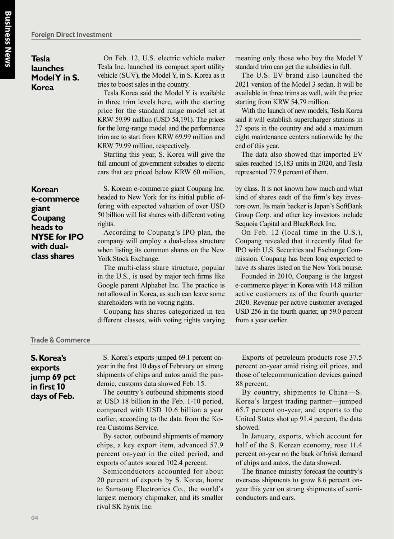**Tesla launches Model Y in S. Korea**

**Korean e-commerce giant Coupang heads to NYSE for IPO with dualclass shares**

On Feb. 12, U.S. electric vehicle maker Tesla Inc. launched its compact sport utility vehicle (SUV), the Model Y, in S. Korea as it tries to boost sales in the country.

Tesla Korea said the Model Y is available in three trim levels here, with the starting price for the standard range model set at KRW 59.99 million (USD 54,191). The prices for the long-range model and the performance trim are to start from KRW 69.99 million and KRW 79.99 million, respectively.

Starting this year, S. Korea will give the full amount of government subsidies to electric cars that are priced below KRW 60 million,

S. Korean e-commerce giant Coupang Inc. headed to New York for its initial public offering with expected valuation of over USD 50 billion will list shares with different voting rights.

According to Coupang's IPO plan, the company will employ a dual-class structure when listing its common shares on the New York Stock Exchange.

The multi-class share structure, popular in the U.S., is used by major tech firms like Google parent Alphabet Inc. The practice is not allowed in Korea, as such can leave some shareholders with no voting rights.

Coupang has shares categorized in ten different classes, with voting rights varying meaning only those who buy the Model Y standard trim can get the subsidies in full.

The U.S. EV brand also launched the 2021 version of the Model 3 sedan. It will be available in three trims as well, with the price starting from KRW 54.79 million.

With the launch of new models, Tesla Korea said it will establish supercharger stations in 27 spots in the country and add a maximum eight maintenance centers nationwide by the end of this year.

The data also showed that imported EV sales reached 15,183 units in 2020, and Tesla represented 77.9 percent of them.

by class. It is not known how much and what kind of shares each of the firm's key investors own. Its main backer is Japan's SoftBank Group Corp. and other key investors include Sequoia Capital and BlackRock Inc.

On Feb. 12 (local time in the U.S.), Coupang revealed that it recently filed for IPO with U.S. Securities and Exchange Commission. Coupang has been long expected to have its shares listed on the New York bourse.

Founded in 2010, Coupang is the largest e-commerce player in Korea with 14.8 million active customers as of the fourth quarter 2020. Revenue per active customer averaged USD 256 in the fourth quarter, up 59.0 percent from a year earlier.

## **Trade & Commerce**

**S. Korea's exports jump 69 pct in first** 1**0 days of Feb.**

S. Korea's exports jumped 69.1 percent onyear in the first 10 days of February on strong shipments of chips and autos amid the pandemic, customs data showed Feb. 15.

The country's outbound shipments stood at USD 18 billion in the Feb. 1-10 period, compared with USD 10.6 billion a year earlier, according to the data from the Korea Customs Service.

By sector, outbound shipments of memory chips, a key export item, advanced 57.9 percent on-year in the cited period, and exports of autos soared 102.4 percent.

Semiconductors accounted for about 20 percent of exports by S. Korea, home to Samsung Electronics Co., the world's largest memory chipmaker, and its smaller rival SK hynix Inc.

Exports of petroleum products rose 37.5 percent on-year amid rising oil prices, and those of telecommunication devices gained 88 percent.

By country, shipments to China—S. Korea's largest trading partner—jumped 65.7 percent on-year, and exports to the United States shot up 91.4 percent, the data showed.

In January, exports, which account for half of the S. Korean economy, rose 11.4 percent on-year on the back of brisk demand of chips and autos, the data showed.

The finance ministry forecast the country's overseas shipments to grow 8.6 percent onyear this year on strong shipments of semiconductors and cars.